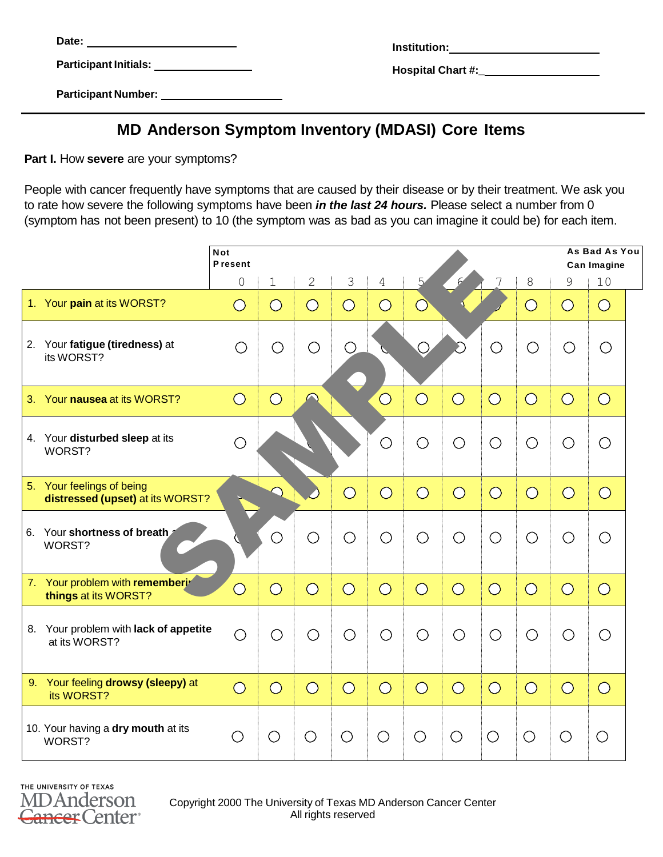Date: <u>Institution: 2006</u>

**Participant Number:**

| Date:                        | Institution:             |
|------------------------------|--------------------------|
| <b>Participant Initials:</b> | <b>Hospital Chart #:</b> |

## **MD Anderson Symptom Inventory (MDASI) Core Items**

**Part I.** How **severe** are your symptoms?

People with cancer frequently have symptoms that are caused by their disease or by their treatment. We ask you to rate how severe the following symptoms have been *in the last 24 hours.* Please select a number from 0 (symptom has not been present) to 10 (the symptom was as bad as you can imagine it could be) for each item.

|                                                               | <b>Not</b><br><b>Present</b> |                       |                |                       |                       |                       |                       |                       |                       |                       | As Bad As You<br>Can Imagine |  |
|---------------------------------------------------------------|------------------------------|-----------------------|----------------|-----------------------|-----------------------|-----------------------|-----------------------|-----------------------|-----------------------|-----------------------|------------------------------|--|
|                                                               | $\Omega$                     | $\mathbf 1$           | 2              | 3                     | 4                     | 5                     |                       |                       | 8                     | 9                     | 10                           |  |
| 1. Your pain at its WORST?                                    | $\bigcirc$                   | $\bigcirc$            | $\bigcirc$     | $\bigcirc$            | $\bigcirc$            | $\bigcirc$            |                       |                       | $\bigcirc$            | $\bigcirc$            | $\bigcirc$                   |  |
| 2. Your fatigue (tiredness) at<br>its WORST?                  | O                            | ○                     | O              | Ο                     |                       |                       |                       | ∧                     | O                     | О                     | O                            |  |
| 3. Your nausea at its WORST?                                  | $\bigcirc$                   | $\bigcirc$            |                |                       | $\overline{\bigcirc}$ | $\overline{O}$        | $\bigcirc$            | $\bigcirc$            | $\bigcirc$            | $\overline{\bigcirc}$ | $\overline{O}$               |  |
| 4. Your disturbed sleep at its<br>WORST?                      | $\bigcirc$                   |                       |                |                       | O                     | $\bigcirc$            | $\bigcirc$            | O                     | O                     | O                     | O                            |  |
| 5. Your feelings of being<br>distressed (upset) at its WORST? |                              |                       |                | $\bigcirc$            | $\overline{\bigcirc}$ | $\bigcirc$            | $\overline{\bigcirc}$ | $\bigcirc$            | $\bigcirc$            | $\overline{\bigcirc}$ | $\overline{O}$               |  |
| 6. Your shortness of breath<br>WORST?                         |                              | $\bigcirc$            | O              | O                     | $\bigcirc$            | $\bigcirc$            | $\bigcirc$            | O                     | О                     | O                     | O                            |  |
| 7. Your problem with rememberir<br>things at its WORST?       | $\overline{\bigcirc}$        | $\overline{\bigcirc}$ | $\overline{O}$ | $\overline{\bigcirc}$ | $\bigcirc$            | $\overline{\bigcirc}$ | $\overline{\bigcirc}$ | $\bigcirc$            | $\overline{\bigcirc}$ | $\overline{\bigcirc}$ | $\overline{O}$               |  |
| 8. Your problem with lack of appetite<br>at its WORST?        | O                            | O                     | Ο              | O                     | O                     | $\bigcirc$            | $\bigcirc$            | O                     | О                     | O                     | O                            |  |
| 9. Your feeling drowsy (sleepy) at<br>its WORST?              | $\overline{O}$               | $\overline{\bigcirc}$ | $\overline{O}$ | $\overline{O}$        | $\overline{\bigcirc}$ | $\overline{\bigcirc}$ | $\overline{O}$        | $\overline{\bigcirc}$ | $\bigcirc$            | $\overline{O}$        | $\overline{O}$               |  |
| 10. Your having a dry mouth at its<br>WORST?                  | О                            | $\bigcirc$            | ○              | ○                     | ○                     | O                     | O                     | $\bigcirc$            | ◯                     | ○                     | $\bigcirc$                   |  |